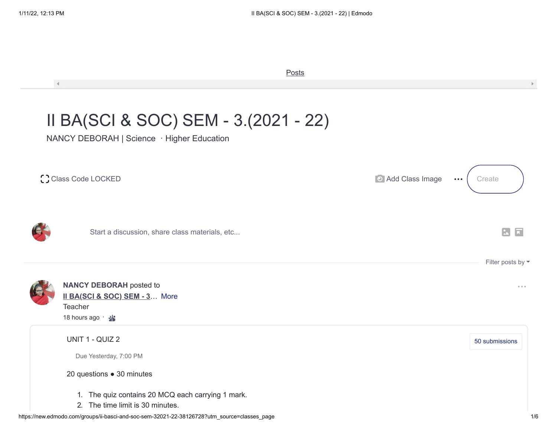$\mathcal{A}^{\pm}$ 

 $\mathbb{D}$ 

**[Posts](https://new.edmodo.com/groups/ii-basci-and-soc-sem-32021-22-38126728/posts)** 

## II BA(SCI & SOC) SEM - 3.(2021 - 22)

NANCY DEBORAH | Science · Higher Education

| C Class Code LOCKED |                                                                                                  | Add Class Image<br>$\bullet\bullet\bullet$ | Create                                   |
|---------------------|--------------------------------------------------------------------------------------------------|--------------------------------------------|------------------------------------------|
|                     | Start a discussion, share class materials, etc                                                   |                                            | $\boxed{2}$<br>$ \overline{\mathbf{u}} $ |
|                     |                                                                                                  |                                            | Filter posts by $\blacktriangledown$     |
|                     | <b>NANCY DEBORAH</b> posted to<br>Il BA(SCI & SOC) SEM - 3 More<br>Teacher<br>18 hours ago · · · |                                            | $0 - 0 - 0$                              |
|                     | UNIT 1 - QUIZ 2<br>Due Yesterday, 7:00 PM                                                        |                                            | 50 submissions                           |
|                     | 20 questions . 30 minutes                                                                        |                                            |                                          |
|                     | 1. The quiz contains 20 MCQ each carrying 1 mark.<br>2. The time limit is 30 minutes.            |                                            |                                          |
|                     | https://new.edmodo.com/groups/ii-basci-and-soc-sem-32021-22-38126728?utm_source=classes_page     |                                            | 1/6                                      |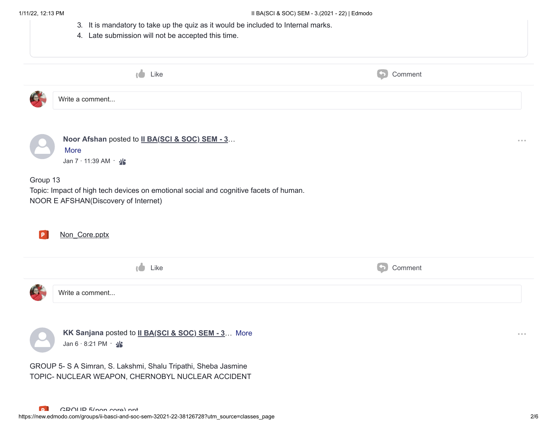| 4. Late submission will not be accepted this time.                                                                                        |                       |                                                            |
|-------------------------------------------------------------------------------------------------------------------------------------------|-----------------------|------------------------------------------------------------|
| $\bigcup$ Like                                                                                                                            | $\bigodot$<br>Comment |                                                            |
| Write a comment                                                                                                                           |                       |                                                            |
| Noor Afshan posted to II BA(SCI & SOC) SEM - 3<br>More<br>Jan 7 · 11:39 AM · · ·                                                          |                       | $\begin{array}{ccccccccccccc} 0 & 0 & 0 & 0 & \end{array}$ |
| Group 13<br>Topic: Impact of high tech devices on emotional social and cognitive facets of human.<br>NOOR E AFSHAN(Discovery of Internet) |                       |                                                            |
| Non_Core.pptx                                                                                                                             |                       |                                                            |
| τÒ.<br>Like                                                                                                                               | $\bigodot$<br>Comment |                                                            |
| Write a comment                                                                                                                           |                       |                                                            |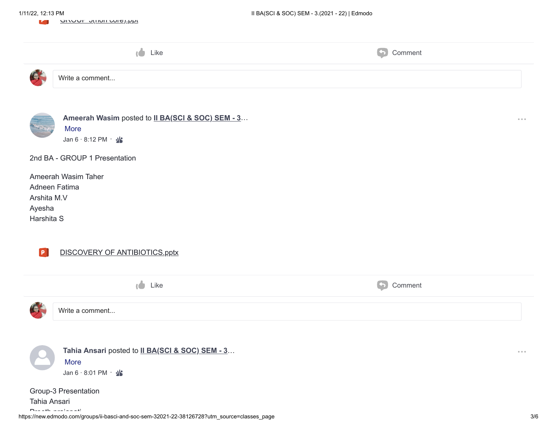|                                     | שו שוושוו שנושוו שטובן.                                                                                              |                                                    |                                              |
|-------------------------------------|----------------------------------------------------------------------------------------------------------------------|----------------------------------------------------|----------------------------------------------|
|                                     | <b>C</b><br>Like                                                                                                     | $\left( \left. \bullet \right) \right)$<br>Comment |                                              |
|                                     | Write a comment                                                                                                      |                                                    |                                              |
|                                     | Ameerah Wasim posted to II BA(SCI & SOC) SEM - 3<br>More<br>Jan 6 · 8:12 PM · · ·                                    |                                                    | $\alpha \cdot \alpha \cdot \alpha$           |
|                                     | 2nd BA - GROUP 1 Presentation                                                                                        |                                                    |                                              |
| Arshita M.V<br>Ayesha<br>Harshita S | Ameerah Wasim Taher<br>Adneen Fatima                                                                                 |                                                    |                                              |
| <b>P</b>                            | DISCOVERY OF ANTIBIOTICS.pptx                                                                                        |                                                    |                                              |
|                                     | <b>CO</b><br>Like                                                                                                    | $\left( \left. \bullet \right) \right.$<br>Comment |                                              |
|                                     | Write a comment                                                                                                      |                                                    |                                              |
|                                     | Tahia Ansari posted to II BA(SCI & SOC) SEM - 3<br>More<br>Jan 6 $\cdot$ 8:01 PM $\cdot$ · ·<br>Group-3 Presentation |                                                    | $\begin{array}{ccccc} 0 & 0 & 0 \end{array}$ |
| Tahia Ansari                        | وأحساب والمساري                                                                                                      |                                                    |                                              |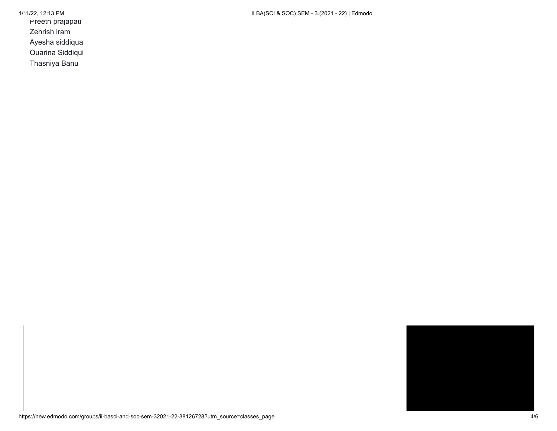Preeth prajapati

Zehrish iram

Ayesha siddiqua

Quarina Siddiqui

Thasniya Banu

1/11/22, 12:13 PM II BA(SCI & SOC) SEM - 3.(2021 - 22) | Edmodo

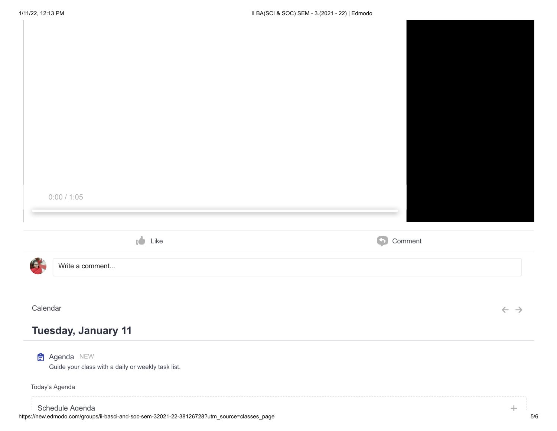| 0:00 / 1:05                                                              |                       |                            |
|--------------------------------------------------------------------------|-----------------------|----------------------------|
|                                                                          |                       |                            |
|                                                                          |                       |                            |
| $\bullet$ Like                                                           | $\bigodot$<br>Comment |                            |
| Write a comment                                                          |                       |                            |
|                                                                          |                       |                            |
|                                                                          |                       |                            |
| <b>KEN</b><br>Calendar<br>Tuesday, January 11<br>$\triangleq$ Agenda NEW |                       | $\leftarrow$ $\rightarrow$ |
| Guide your class with a daily or weekly task list.<br>Today's Agenda     |                       |                            |